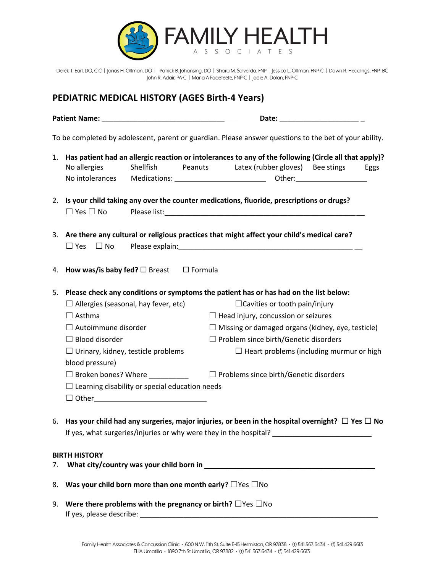

Derek T. Earl, DO, CIC | Jonas H. Oltman, DO | Patrick B. Johansing, DO | Shara M. Salverda, FNP | Jessica L. Oltman, FNP-C | Dawn R. Headings, FNP-BC John R. Adair, PA-C | Maria A Faaeteete, FNP-C | Jadie A. Dolan, FNP-C

## **PEDIATRIC MEDICAL HISTORY (AGES Birth-4 Years)**

|    | PEDIATRIC MEDICAL HISTORY (AGES Birth-4 Years)                                                                                                                                                                                                                                                                                                                                                                                                                                                                                    |  |
|----|-----------------------------------------------------------------------------------------------------------------------------------------------------------------------------------------------------------------------------------------------------------------------------------------------------------------------------------------------------------------------------------------------------------------------------------------------------------------------------------------------------------------------------------|--|
|    | Date: the contract of the contract of the contract of the contract of the contract of the contract of the contract of the contract of the contract of the contract of the contract of the contract of the contract of the cont<br>Patient Name: Name: Name and Security Assembly Assembly Assembly Assembly Assembly Assembly Assembly                                                                                                                                                                                            |  |
|    | To be completed by adolescent, parent or guardian. Please answer questions to the bet of your ability.                                                                                                                                                                                                                                                                                                                                                                                                                            |  |
|    | 1. Has patient had an allergic reaction or intolerances to any of the following (Circle all that apply)?<br>Shellfish<br>Latex (rubber gloves) Bee stings<br>No allergies<br>Peanuts<br>Eggs<br>No intolerances                                                                                                                                                                                                                                                                                                                   |  |
|    | 2. Is your child taking any over the counter medications, fluoride, prescriptions or drugs?<br>$\Box$ Yes $\Box$ No                                                                                                                                                                                                                                                                                                                                                                                                               |  |
|    | 3. Are there any cultural or religious practices that might affect your child's medical care?<br>$\Box$ Yes $\Box$ No                                                                                                                                                                                                                                                                                                                                                                                                             |  |
| 4. | How was/is baby fed? $\Box$ Breast $\Box$ Formula                                                                                                                                                                                                                                                                                                                                                                                                                                                                                 |  |
| 5. | Please check any conditions or symptoms the patient has or has had on the list below:<br>$\Box$ Allergies (seasonal, hay fever, etc)<br>$\Box$ Cavities or tooth pain/injury<br>$\Box$ Asthma<br>$\Box$ Head injury, concussion or seizures<br>$\Box$ Autoimmune disorder<br>$\Box$ Missing or damaged organs (kidney, eye, testicle)<br>$\Box$ Blood disorder<br>$\Box$ Problem since birth/Genetic disorders<br>$\Box$ Urinary, kidney, testicle problems<br>$\Box$ Heart problems (including murmur or high<br>blood pressure) |  |
|    | $\Box$ Problems since birth/Genetic disorders<br>$\Box$ Broken bones? Where<br>$\Box$ Learning disability or special education needs<br>$\Box$ Other $\Box$                                                                                                                                                                                                                                                                                                                                                                       |  |
|    | 6. Has your child had any surgeries, major injuries, or been in the hospital overnight? $\Box$ Yes $\Box$ No                                                                                                                                                                                                                                                                                                                                                                                                                      |  |
| 7. | <b>BIRTH HISTORY</b>                                                                                                                                                                                                                                                                                                                                                                                                                                                                                                              |  |
| 8. | Was your child born more than one month early? $\square$ Yes $\square$ No                                                                                                                                                                                                                                                                                                                                                                                                                                                         |  |

9. **Were there problems with the pregnancy or birth?** ☐Yes ☐No If yes, please describe: \_\_\_\_\_\_\_\_\_\_\_\_\_\_\_\_\_\_\_\_\_\_\_\_\_\_\_\_\_\_\_\_\_\_\_\_\_\_\_\_\_\_\_\_\_\_\_\_\_\_\_\_\_\_\_\_\_\_\_\_